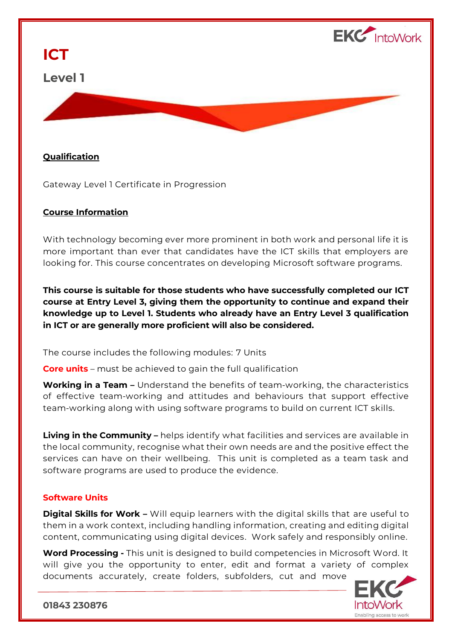

## **ICT**

## **Level 1**



Gateway Level 1 Certificate in Progression

## **Course Information**

With technology becoming ever more prominent in both work and personal life it is more important than ever that candidates have the ICT skills that employers are looking for. This course concentrates on developing Microsoft software programs.

**This course is suitable for those students who have successfully completed our ICT course at Entry Level 3, giving them the opportunity to continue and expand their knowledge up to Level 1. Students who already have an Entry Level 3 qualification in ICT or are generally more proficient will also be considered.**

The course includes the following modules: 7 Units

**Core units** – must be achieved to gain the full qualification

**Working in a Team –** Understand the benefits of team-working, the characteristics of effective team-working and attitudes and behaviours that support effective team-working along with using software programs to build on current ICT skills.

**Living in the Community –** helps identify what facilities and services are available in the local community, recognise what their own needs are and the positive effect the services can have on their wellbeing. This unit is completed as a team task and software programs are used to produce the evidence.

## **Software Units**

**Digital Skills for Work -** Will equip learners with the digital skills that are useful to them in a work context, including handling information, creating and editing digital content, communicating using digital devices. Work safely and responsibly online.

**Word Processing -** This unit is designed to build competencies in Microsoft Word. It will give you the opportunity to enter, edit and format a variety of complex documents accurately, create folders, subfolders, cut and move



**01843 230876**